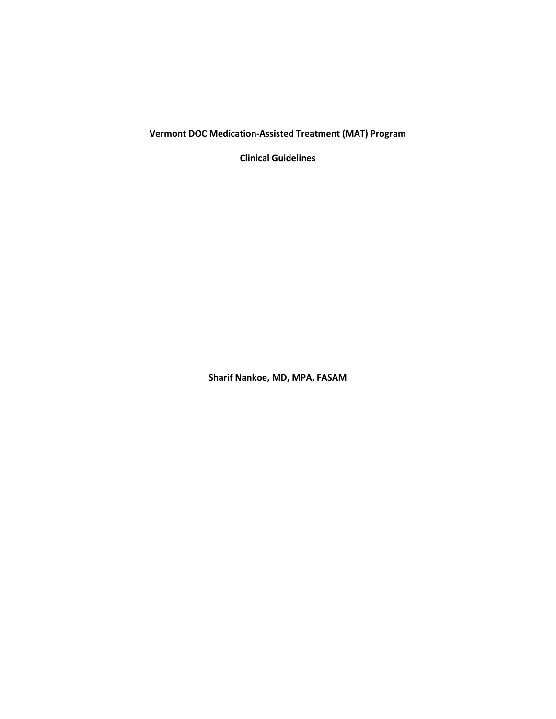**Vermont DOC Medication-Assisted Treatment (MAT) Program**

**Clinical Guidelines**

**Sharif Nankoe, MD, MPA, FASAM**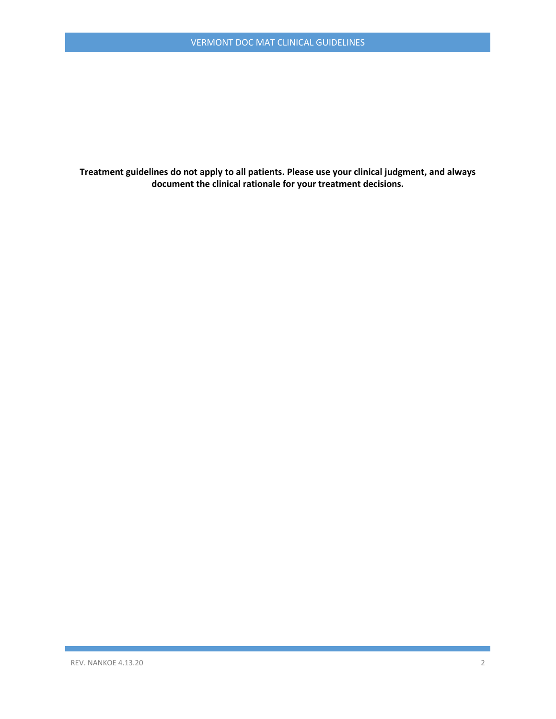**Treatment guidelines do not apply to all patients. Please use your clinical judgment, and always document the clinical rationale for your treatment decisions.**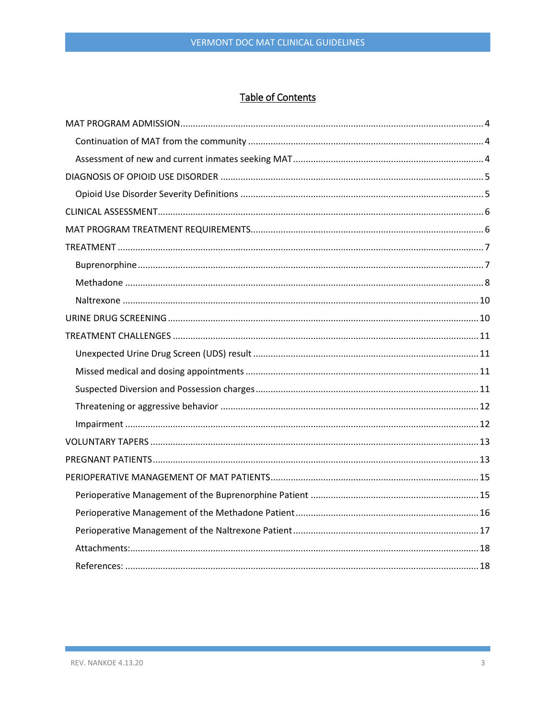# Table of Contents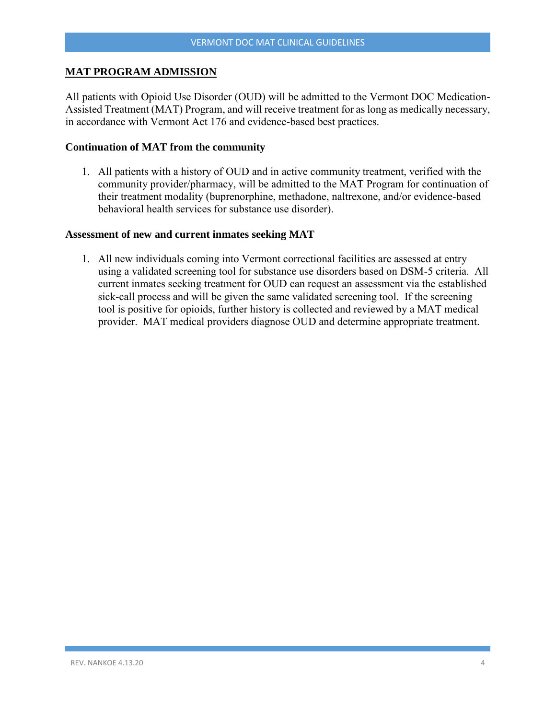## <span id="page-3-0"></span>**MAT PROGRAM ADMISSION**

All patients with Opioid Use Disorder (OUD) will be admitted to the Vermont DOC Medication-Assisted Treatment (MAT) Program, and will receive treatment for as long as medically necessary, in accordance with Vermont Act 176 and evidence-based best practices.

#### <span id="page-3-1"></span>**Continuation of MAT from the community**

1. All patients with a history of OUD and in active community treatment, verified with the community provider/pharmacy, will be admitted to the MAT Program for continuation of their treatment modality (buprenorphine, methadone, naltrexone, and/or evidence-based behavioral health services for substance use disorder).

#### <span id="page-3-2"></span>**Assessment of new and current inmates seeking MAT**

1. All new individuals coming into Vermont correctional facilities are assessed at entry using a validated screening tool for substance use disorders based on DSM-5 criteria. All current inmates seeking treatment for OUD can request an assessment via the established sick-call process and will be given the same validated screening tool. If the screening tool is positive for opioids, further history is collected and reviewed by a MAT medical provider. MAT medical providers diagnose OUD and determine appropriate treatment.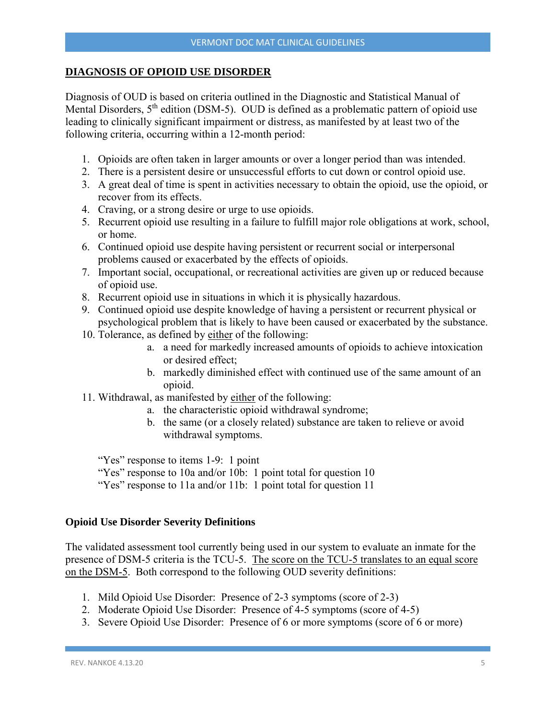#### <span id="page-4-0"></span>**DIAGNOSIS OF OPIOID USE DISORDER**

Diagnosis of OUD is based on criteria outlined in the Diagnostic and Statistical Manual of Mental Disorders,  $5<sup>th</sup>$  edition (DSM-5). OUD is defined as a problematic pattern of opioid use leading to clinically significant impairment or distress, as manifested by at least two of the following criteria, occurring within a 12-month period:

- 1. Opioids are often taken in larger amounts or over a longer period than was intended.
- 2. There is a persistent desire or unsuccessful efforts to cut down or control opioid use.
- 3. A great deal of time is spent in activities necessary to obtain the opioid, use the opioid, or recover from its effects.
- 4. Craving, or a strong desire or urge to use opioids.
- 5. Recurrent opioid use resulting in a failure to fulfill major role obligations at work, school, or home.
- 6. Continued opioid use despite having persistent or recurrent social or interpersonal problems caused or exacerbated by the effects of opioids.
- 7. Important social, occupational, or recreational activities are given up or reduced because of opioid use.
- 8. Recurrent opioid use in situations in which it is physically hazardous.
- 9. Continued opioid use despite knowledge of having a persistent or recurrent physical or psychological problem that is likely to have been caused or exacerbated by the substance.
- 10. Tolerance, as defined by either of the following:
	- a. a need for markedly increased amounts of opioids to achieve intoxication or desired effect;
	- b. markedly diminished effect with continued use of the same amount of an opioid.
- 11. Withdrawal, as manifested by either of the following:
	- a. the characteristic opioid withdrawal syndrome;
	- b. the same (or a closely related) substance are taken to relieve or avoid withdrawal symptoms.

"Yes" response to items 1-9: 1 point

"Yes" response to 10a and/or 10b: 1 point total for question 10

"Yes" response to 11a and/or 11b: 1 point total for question 11

#### <span id="page-4-1"></span>**Opioid Use Disorder Severity Definitions**

The validated assessment tool currently being used in our system to evaluate an inmate for the presence of DSM-5 criteria is the TCU-5. The score on the TCU-5 translates to an equal score on the DSM-5. Both correspond to the following OUD severity definitions:

- 1. Mild Opioid Use Disorder: Presence of 2-3 symptoms (score of 2-3)
- 2. Moderate Opioid Use Disorder: Presence of 4-5 symptoms (score of 4-5)
- 3. Severe Opioid Use Disorder: Presence of 6 or more symptoms (score of 6 or more)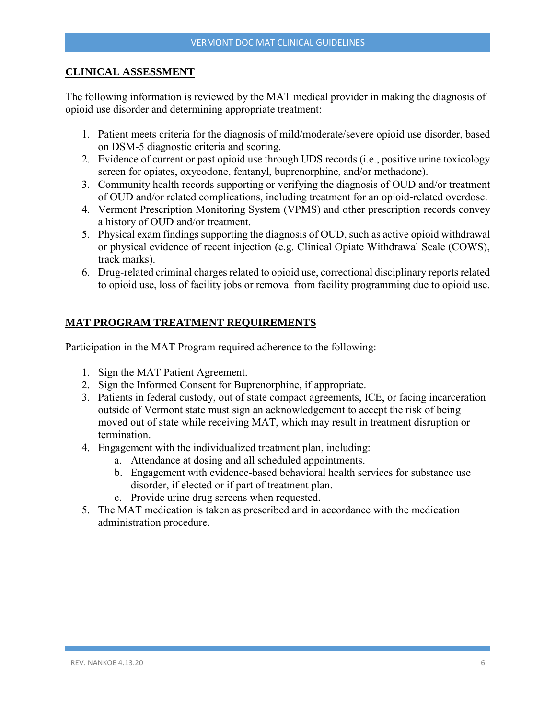### <span id="page-5-0"></span>**CLINICAL ASSESSMENT**

The following information is reviewed by the MAT medical provider in making the diagnosis of opioid use disorder and determining appropriate treatment:

- 1. Patient meets criteria for the diagnosis of mild/moderate/severe opioid use disorder, based on DSM-5 diagnostic criteria and scoring.
- 2. Evidence of current or past opioid use through UDS records (i.e., positive urine toxicology screen for opiates, oxycodone, fentanyl, buprenorphine, and/or methadone).
- 3. Community health records supporting or verifying the diagnosis of OUD and/or treatment of OUD and/or related complications, including treatment for an opioid-related overdose.
- 4. Vermont Prescription Monitoring System (VPMS) and other prescription records convey a history of OUD and/or treatment.
- 5. Physical exam findings supporting the diagnosis of OUD, such as active opioid withdrawal or physical evidence of recent injection (e.g. Clinical Opiate Withdrawal Scale (COWS), track marks).
- 6. Drug-related criminal charges related to opioid use, correctional disciplinary reports related to opioid use, loss of facility jobs or removal from facility programming due to opioid use.

# <span id="page-5-1"></span>**MAT PROGRAM TREATMENT REQUIREMENTS**

Participation in the MAT Program required adherence to the following:

- 1. Sign the MAT Patient Agreement.
- 2. Sign the Informed Consent for Buprenorphine, if appropriate.
- 3. Patients in federal custody, out of state compact agreements, ICE, or facing incarceration outside of Vermont state must sign an acknowledgement to accept the risk of being moved out of state while receiving MAT, which may result in treatment disruption or termination.
- 4. Engagement with the individualized treatment plan, including:
	- a. Attendance at dosing and all scheduled appointments.
	- b. Engagement with evidence-based behavioral health services for substance use disorder, if elected or if part of treatment plan.
	- c. Provide urine drug screens when requested.
- 5. The MAT medication is taken as prescribed and in accordance with the medication administration procedure.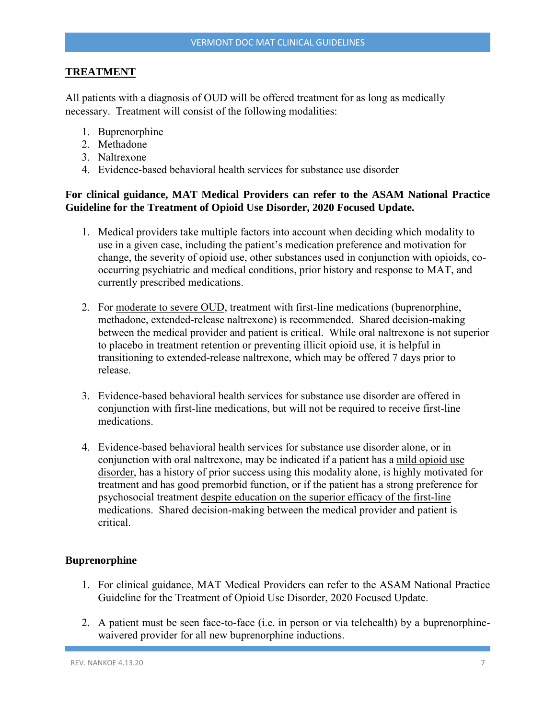## <span id="page-6-0"></span>**TREATMENT**

All patients with a diagnosis of OUD will be offered treatment for as long as medically necessary. Treatment will consist of the following modalities:

- 1. Buprenorphine
- 2. Methadone
- 3. Naltrexone
- 4. Evidence-based behavioral health services for substance use disorder

# **For clinical guidance, MAT Medical Providers can refer to the ASAM National Practice Guideline for the Treatment of Opioid Use Disorder, 2020 Focused Update.**

- 1. Medical providers take multiple factors into account when deciding which modality to use in a given case, including the patient's medication preference and motivation for change, the severity of opioid use, other substances used in conjunction with opioids, cooccurring psychiatric and medical conditions, prior history and response to MAT, and currently prescribed medications.
- 2. For moderate to severe OUD, treatment with first-line medications (buprenorphine, methadone, extended-release naltrexone) is recommended. Shared decision-making between the medical provider and patient is critical. While oral naltrexone is not superior to placebo in treatment retention or preventing illicit opioid use, it is helpful in transitioning to extended-release naltrexone, which may be offered 7 days prior to release.
- 3. Evidence-based behavioral health services for substance use disorder are offered in conjunction with first-line medications, but will not be required to receive first-line medications.
- 4. Evidence-based behavioral health services for substance use disorder alone, or in conjunction with oral naltrexone, may be indicated if a patient has a mild opioid use disorder, has a history of prior success using this modality alone, is highly motivated for treatment and has good premorbid function, or if the patient has a strong preference for psychosocial treatment despite education on the superior efficacy of the first-line medications. Shared decision-making between the medical provider and patient is critical.

#### <span id="page-6-1"></span>**Buprenorphine**

- 1. For clinical guidance, MAT Medical Providers can refer to the ASAM National Practice Guideline for the Treatment of Opioid Use Disorder, 2020 Focused Update.
- 2. A patient must be seen face-to-face (i.e. in person or via telehealth) by a buprenorphinewaivered provider for all new buprenorphine inductions.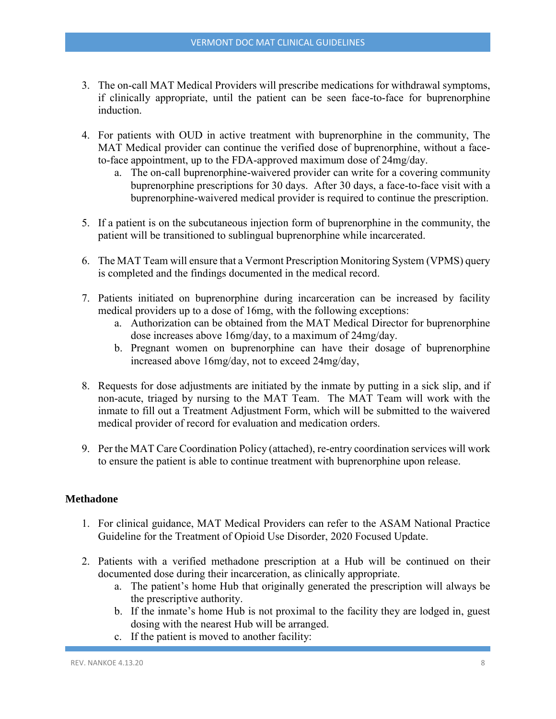- 3. The on-call MAT Medical Providers will prescribe medications for withdrawal symptoms, if clinically appropriate, until the patient can be seen face-to-face for buprenorphine induction.
- 4. For patients with OUD in active treatment with buprenorphine in the community, The MAT Medical provider can continue the verified dose of buprenorphine, without a faceto-face appointment, up to the FDA-approved maximum dose of 24mg/day.
	- a. The on-call buprenorphine-waivered provider can write for a covering community buprenorphine prescriptions for 30 days. After 30 days, a face-to-face visit with a buprenorphine-waivered medical provider is required to continue the prescription.
- 5. If a patient is on the subcutaneous injection form of buprenorphine in the community, the patient will be transitioned to sublingual buprenorphine while incarcerated.
- 6. The MAT Team will ensure that a Vermont Prescription Monitoring System (VPMS) query is completed and the findings documented in the medical record.
- 7. Patients initiated on buprenorphine during incarceration can be increased by facility medical providers up to a dose of 16mg, with the following exceptions:
	- a. Authorization can be obtained from the MAT Medical Director for buprenorphine dose increases above 16mg/day, to a maximum of 24mg/day.
	- b. Pregnant women on buprenorphine can have their dosage of buprenorphine increased above 16mg/day, not to exceed 24mg/day,
- 8. Requests for dose adjustments are initiated by the inmate by putting in a sick slip, and if non-acute, triaged by nursing to the MAT Team. The MAT Team will work with the inmate to fill out a Treatment Adjustment Form, which will be submitted to the waivered medical provider of record for evaluation and medication orders.
- 9. Per the MAT Care Coordination Policy (attached), re-entry coordination services will work to ensure the patient is able to continue treatment with buprenorphine upon release.

## <span id="page-7-0"></span>**Methadone**

- 1. For clinical guidance, MAT Medical Providers can refer to the ASAM National Practice Guideline for the Treatment of Opioid Use Disorder, 2020 Focused Update.
- 2. Patients with a verified methadone prescription at a Hub will be continued on their documented dose during their incarceration, as clinically appropriate.
	- a. The patient's home Hub that originally generated the prescription will always be the prescriptive authority.
	- b. If the inmate's home Hub is not proximal to the facility they are lodged in, guest dosing with the nearest Hub will be arranged.
	- c. If the patient is moved to another facility: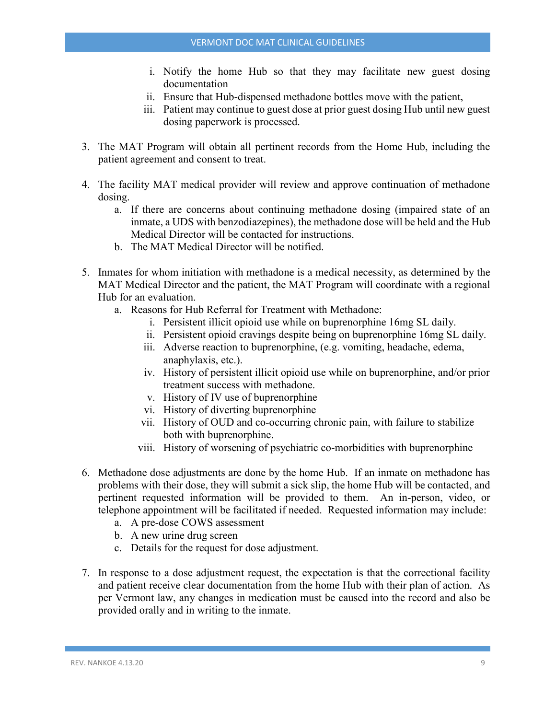- i. Notify the home Hub so that they may facilitate new guest dosing documentation
- ii. Ensure that Hub-dispensed methadone bottles move with the patient,
- iii. Patient may continue to guest dose at prior guest dosing Hub until new guest dosing paperwork is processed.
- 3. The MAT Program will obtain all pertinent records from the Home Hub, including the patient agreement and consent to treat.
- 4. The facility MAT medical provider will review and approve continuation of methadone dosing.
	- a. If there are concerns about continuing methadone dosing (impaired state of an inmate, a UDS with benzodiazepines), the methadone dose will be held and the Hub Medical Director will be contacted for instructions.
	- b. The MAT Medical Director will be notified.
- 5. Inmates for whom initiation with methadone is a medical necessity, as determined by the MAT Medical Director and the patient, the MAT Program will coordinate with a regional Hub for an evaluation.
	- a. Reasons for Hub Referral for Treatment with Methadone:
		- i. Persistent illicit opioid use while on buprenorphine 16mg SL daily.
		- ii. Persistent opioid cravings despite being on buprenorphine 16mg SL daily.
		- iii. Adverse reaction to buprenorphine, (e.g. vomiting, headache, edema, anaphylaxis, etc.).
		- iv. History of persistent illicit opioid use while on buprenorphine, and/or prior treatment success with methadone.
		- v. History of IV use of buprenorphine
		- vi. History of diverting buprenorphine
		- vii. History of OUD and co-occurring chronic pain, with failure to stabilize both with buprenorphine.
		- viii. History of worsening of psychiatric co-morbidities with buprenorphine
- 6. Methadone dose adjustments are done by the home Hub. If an inmate on methadone has problems with their dose, they will submit a sick slip, the home Hub will be contacted, and pertinent requested information will be provided to them. An in-person, video, or telephone appointment will be facilitated if needed. Requested information may include:
	- a. A pre-dose COWS assessment
	- b. A new urine drug screen
	- c. Details for the request for dose adjustment.
- 7. In response to a dose adjustment request, the expectation is that the correctional facility and patient receive clear documentation from the home Hub with their plan of action. As per Vermont law, any changes in medication must be caused into the record and also be provided orally and in writing to the inmate.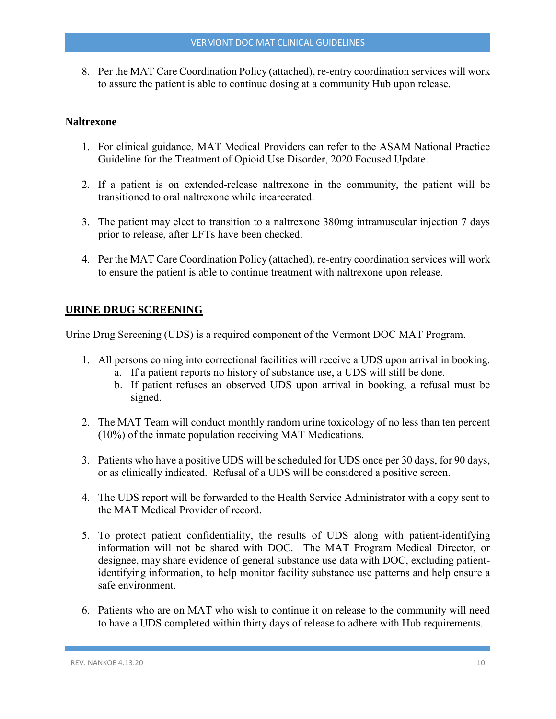8. Per the MAT Care Coordination Policy (attached), re-entry coordination services will work to assure the patient is able to continue dosing at a community Hub upon release.

#### <span id="page-9-0"></span>**Naltrexone**

- 1. For clinical guidance, MAT Medical Providers can refer to the ASAM National Practice Guideline for the Treatment of Opioid Use Disorder, 2020 Focused Update.
- 2. If a patient is on extended-release naltrexone in the community, the patient will be transitioned to oral naltrexone while incarcerated.
- 3. The patient may elect to transition to a naltrexone 380mg intramuscular injection 7 days prior to release, after LFTs have been checked.
- 4. Per the MAT Care Coordination Policy (attached), re-entry coordination services will work to ensure the patient is able to continue treatment with naltrexone upon release.

## <span id="page-9-1"></span>**URINE DRUG SCREENING**

Urine Drug Screening (UDS) is a required component of the Vermont DOC MAT Program.

- 1. All persons coming into correctional facilities will receive a UDS upon arrival in booking.
	- a. If a patient reports no history of substance use, a UDS will still be done.
	- b. If patient refuses an observed UDS upon arrival in booking, a refusal must be signed.
- 2. The MAT Team will conduct monthly random urine toxicology of no less than ten percent (10%) of the inmate population receiving MAT Medications.
- 3. Patients who have a positive UDS will be scheduled for UDS once per 30 days, for 90 days, or as clinically indicated. Refusal of a UDS will be considered a positive screen.
- 4. The UDS report will be forwarded to the Health Service Administrator with a copy sent to the MAT Medical Provider of record.
- 5. To protect patient confidentiality, the results of UDS along with patient-identifying information will not be shared with DOC. The MAT Program Medical Director, or designee, may share evidence of general substance use data with DOC, excluding patientidentifying information, to help monitor facility substance use patterns and help ensure a safe environment.
- 6. Patients who are on MAT who wish to continue it on release to the community will need to have a UDS completed within thirty days of release to adhere with Hub requirements.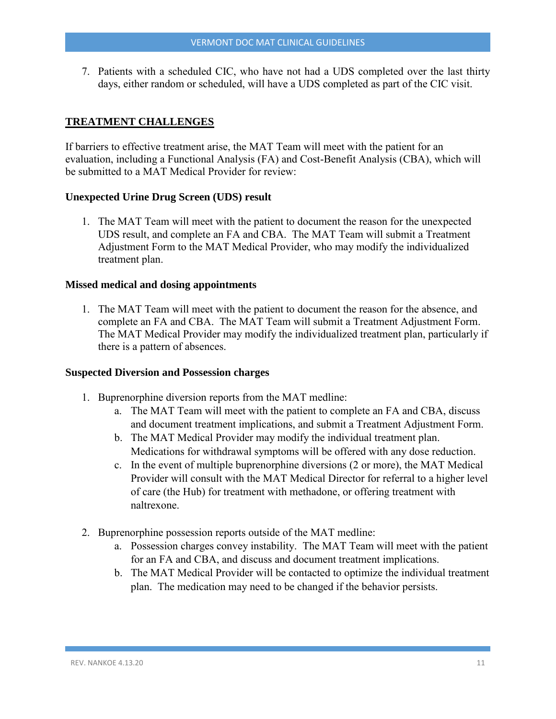7. Patients with a scheduled CIC, who have not had a UDS completed over the last thirty days, either random or scheduled, will have a UDS completed as part of the CIC visit.

# <span id="page-10-0"></span>**TREATMENT CHALLENGES**

If barriers to effective treatment arise, the MAT Team will meet with the patient for an evaluation, including a Functional Analysis (FA) and Cost-Benefit Analysis (CBA), which will be submitted to a MAT Medical Provider for review:

#### <span id="page-10-1"></span>**Unexpected Urine Drug Screen (UDS) result**

1. The MAT Team will meet with the patient to document the reason for the unexpected UDS result, and complete an FA and CBA. The MAT Team will submit a Treatment Adjustment Form to the MAT Medical Provider, who may modify the individualized treatment plan.

#### <span id="page-10-2"></span>**Missed medical and dosing appointments**

1. The MAT Team will meet with the patient to document the reason for the absence, and complete an FA and CBA. The MAT Team will submit a Treatment Adjustment Form. The MAT Medical Provider may modify the individualized treatment plan, particularly if there is a pattern of absences.

#### <span id="page-10-3"></span>**Suspected Diversion and Possession charges**

- 1. Buprenorphine diversion reports from the MAT medline:
	- a. The MAT Team will meet with the patient to complete an FA and CBA, discuss and document treatment implications, and submit a Treatment Adjustment Form.
	- b. The MAT Medical Provider may modify the individual treatment plan. Medications for withdrawal symptoms will be offered with any dose reduction.
	- c. In the event of multiple buprenorphine diversions (2 or more), the MAT Medical Provider will consult with the MAT Medical Director for referral to a higher level of care (the Hub) for treatment with methadone, or offering treatment with naltrexone.
- 2. Buprenorphine possession reports outside of the MAT medline:
	- a. Possession charges convey instability. The MAT Team will meet with the patient for an FA and CBA, and discuss and document treatment implications.
	- b. The MAT Medical Provider will be contacted to optimize the individual treatment plan. The medication may need to be changed if the behavior persists.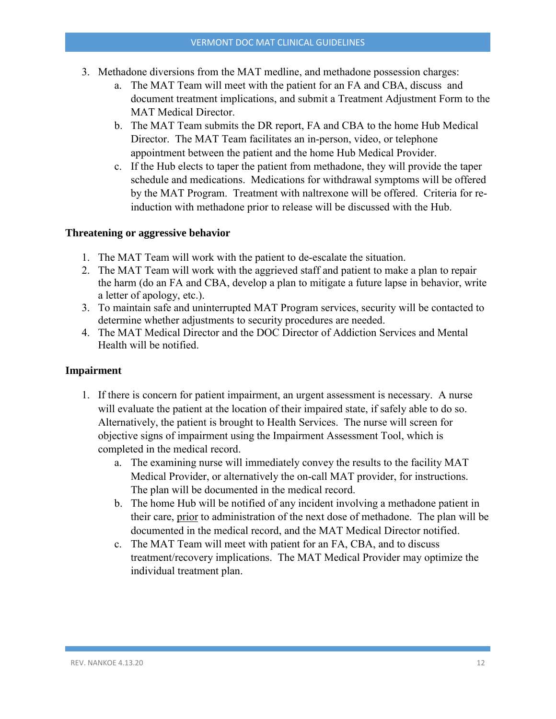- 3. Methadone diversions from the MAT medline, and methadone possession charges:
	- a. The MAT Team will meet with the patient for an FA and CBA, discuss and document treatment implications, and submit a Treatment Adjustment Form to the MAT Medical Director.
	- b. The MAT Team submits the DR report, FA and CBA to the home Hub Medical Director. The MAT Team facilitates an in-person, video, or telephone appointment between the patient and the home Hub Medical Provider.
	- c. If the Hub elects to taper the patient from methadone, they will provide the taper schedule and medications. Medications for withdrawal symptoms will be offered by the MAT Program. Treatment with naltrexone will be offered. Criteria for reinduction with methadone prior to release will be discussed with the Hub.

#### <span id="page-11-0"></span>**Threatening or aggressive behavior**

- 1. The MAT Team will work with the patient to de-escalate the situation.
- 2. The MAT Team will work with the aggrieved staff and patient to make a plan to repair the harm (do an FA and CBA, develop a plan to mitigate a future lapse in behavior, write a letter of apology, etc.).
- 3. To maintain safe and uninterrupted MAT Program services, security will be contacted to determine whether adjustments to security procedures are needed.
- 4. The MAT Medical Director and the DOC Director of Addiction Services and Mental Health will be notified.

#### <span id="page-11-1"></span>**Impairment**

- 1. If there is concern for patient impairment, an urgent assessment is necessary. A nurse will evaluate the patient at the location of their impaired state, if safely able to do so. Alternatively, the patient is brought to Health Services. The nurse will screen for objective signs of impairment using the Impairment Assessment Tool, which is completed in the medical record.
	- a. The examining nurse will immediately convey the results to the facility MAT Medical Provider, or alternatively the on-call MAT provider, for instructions. The plan will be documented in the medical record.
	- b. The home Hub will be notified of any incident involving a methadone patient in their care, prior to administration of the next dose of methadone. The plan will be documented in the medical record, and the MAT Medical Director notified.
	- c. The MAT Team will meet with patient for an FA, CBA, and to discuss treatment/recovery implications. The MAT Medical Provider may optimize the individual treatment plan.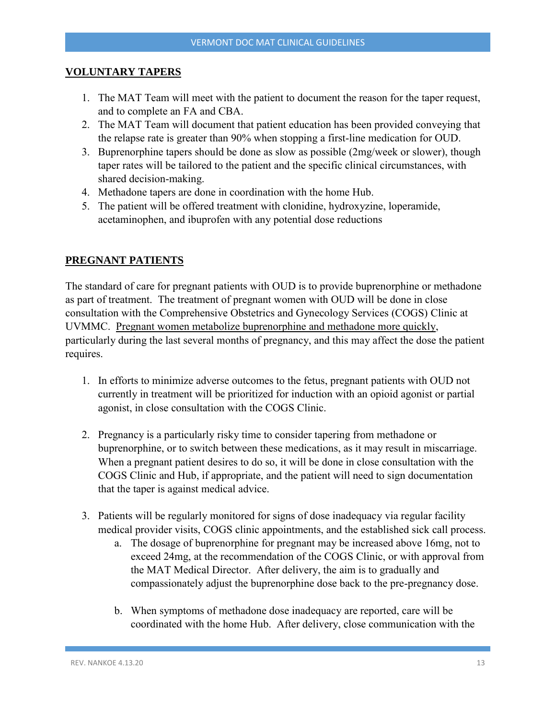#### <span id="page-12-0"></span>**VOLUNTARY TAPERS**

- 1. The MAT Team will meet with the patient to document the reason for the taper request, and to complete an FA and CBA.
- 2. The MAT Team will document that patient education has been provided conveying that the relapse rate is greater than 90% when stopping a first-line medication for OUD.
- 3. Buprenorphine tapers should be done as slow as possible (2mg/week or slower), though taper rates will be tailored to the patient and the specific clinical circumstances, with shared decision-making.
- 4. Methadone tapers are done in coordination with the home Hub.
- 5. The patient will be offered treatment with clonidine, hydroxyzine, loperamide, acetaminophen, and ibuprofen with any potential dose reductions

## <span id="page-12-1"></span>**PREGNANT PATIENTS**

The standard of care for pregnant patients with OUD is to provide buprenorphine or methadone as part of treatment. The treatment of pregnant women with OUD will be done in close consultation with the Comprehensive Obstetrics and Gynecology Services (COGS) Clinic at UVMMC. Pregnant women metabolize buprenorphine and methadone more quickly, particularly during the last several months of pregnancy, and this may affect the dose the patient requires.

- 1. In efforts to minimize adverse outcomes to the fetus, pregnant patients with OUD not currently in treatment will be prioritized for induction with an opioid agonist or partial agonist, in close consultation with the COGS Clinic.
- 2. Pregnancy is a particularly risky time to consider tapering from methadone or buprenorphine, or to switch between these medications, as it may result in miscarriage. When a pregnant patient desires to do so, it will be done in close consultation with the COGS Clinic and Hub, if appropriate, and the patient will need to sign documentation that the taper is against medical advice.
- 3. Patients will be regularly monitored for signs of dose inadequacy via regular facility medical provider visits, COGS clinic appointments, and the established sick call process.
	- a. The dosage of buprenorphine for pregnant may be increased above 16mg, not to exceed 24mg, at the recommendation of the COGS Clinic, or with approval from the MAT Medical Director. After delivery, the aim is to gradually and compassionately adjust the buprenorphine dose back to the pre-pregnancy dose.
	- b. When symptoms of methadone dose inadequacy are reported, care will be coordinated with the home Hub. After delivery, close communication with the